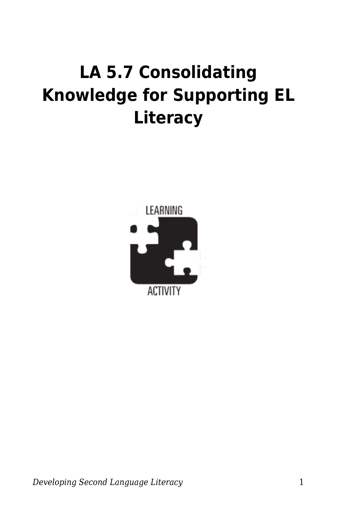## **LA 5.7 Consolidating Knowledge for Supporting EL Literacy**



*Developing Second Language Literacy* 1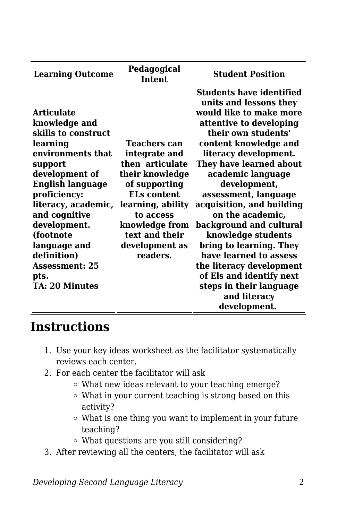| <b>Learning Outcome</b> | Pedagogical<br>Intent | <b>Student Position</b>         |
|-------------------------|-----------------------|---------------------------------|
|                         |                       | <b>Students have identified</b> |
|                         |                       | units and lessons they          |
| <b>Articulate</b>       |                       | would like to make more         |
| knowledge and           |                       | attentive to developing         |
| skills to construct     |                       | their own students'             |
| learning                | Teachers can          | content knowledge and           |
| environments that       | integrate and         | literacy development.           |
| support                 | then articulate       | They have learned about         |
| development of          | their knowledge       | academic language               |
| <b>English language</b> | of supporting         | development,                    |
| proficiency:            | <b>ELs content</b>    | assessment, language            |
| literacy, academic,     | learning, ability     | acquisition, and building       |
| and cognitive           | to access             | on the academic,                |
| development.            | knowledge from        | background and cultural         |
| (footnote               | text and their        | knowledge students              |
| language and            | development as        | bring to learning. They         |
| definition)             | readers.              | have learned to assess          |
| <b>Assessment: 25</b>   |                       | the literacy development        |
| pts.                    |                       | of Els and identify next        |
| TA: 20 Minutes          |                       | steps in their language         |
|                         |                       | and literacy                    |
|                         |                       | development.                    |

## **Instructions**

- 1. Use your key ideas worksheet as the facilitator systematically reviews each center.
- 2. For each center the facilitator will ask
	- What new ideas relevant to your teaching emerge?
	- What in your current teaching is strong based on this activity?
	- What is one thing you want to implement in your future teaching?
	- What questions are you still considering?
- 3. After reviewing all the centers, the facilitator will ask